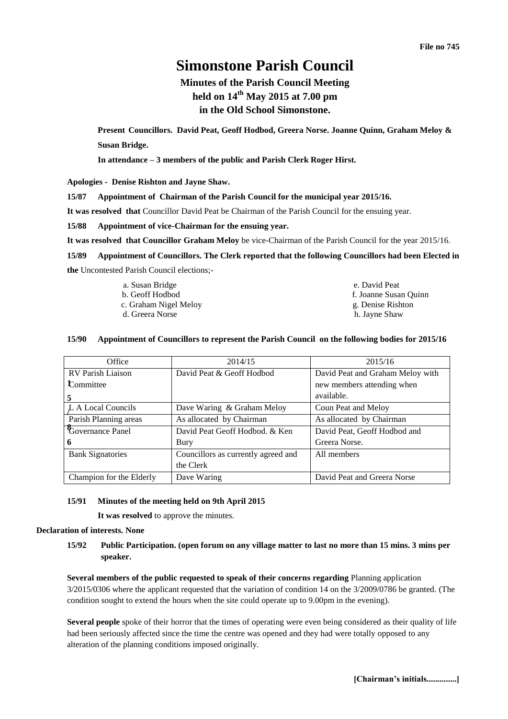# **Simonstone Parish Council**

## **Minutes of the Parish Council Meeting held on 14th May 2015 at 7.00 pm in the Old School Simonstone.**

**Present Councillors. David Peat, Geoff Hodbod, Greera Norse. Joanne Quinn, Graham Meloy & Susan Bridge.**

**In attendance – 3 members of the public and Parish Clerk Roger Hirst.** 

**Apologies - Denise Rishton and Jayne Shaw.** 

**15/87 Appointment of Chairman of the Parish Council for the municipal year 2015/16.**

**It was resolved that** Councillor David Peat be Chairman of the Parish Council for the ensuing year.

**15/88 Appointment of vice-Chairman for the ensuing year.** 

**It was resolved that Councillor Graham Meloy** be vice-Chairman of the Parish Council for the year 2015/16.

**15/89 Appointment of Councillors. The Clerk reported that the following Councillors had been Elected in the** Uncontested Parish Council elections;-

| a. Susan Bridge       | e. David Peat         |  |
|-----------------------|-----------------------|--|
| b. Geoff Hodbod       | f. Joanne Susan Quinn |  |
| c. Graham Nigel Meloy | g. Denise Rishton     |  |
| d. Greera Norse       | h. Jayne Shaw         |  |

## **15/90 Appointment of Councillors to represent the Parish Council on the following bodies for 2015/16**

| Office                   | 2014/15                             | 2015/16                          |  |
|--------------------------|-------------------------------------|----------------------------------|--|
| <b>RV Parish Liaison</b> | David Peat & Geoff Hodbod           | David Peat and Graham Meloy with |  |
| Committee                |                                     | new members attending when       |  |
| 5                        |                                     | available.                       |  |
| L A Local Councils       | Dave Waring & Graham Meloy          | Coun Peat and Meloy              |  |
| Parish Planning areas    | As allocated by Chairman            | As allocated by Chairman         |  |
| Governance Panel         | David Peat Geoff Hodbod. & Ken      | David Peat, Geoff Hodbod and     |  |
| 6                        | Bury                                | Greera Norse.                    |  |
| <b>Bank Signatories</b>  | Councillors as currently agreed and | All members                      |  |
|                          | the Clerk                           |                                  |  |
| Champion for the Elderly | Dave Waring                         | David Peat and Greera Norse      |  |

## **15/91 Minutes of the meeting held on 9th April 2015**

**It was resolved** to approve the minutes.

## **Declaration of interests. None**

**15/92 Public Participation. (open forum on any village matter to last no more than 15 mins. 3 mins per speaker.**

**Several members of the public requested to speak of their concerns regarding** Planning application 3/2015/0306 where the applicant requested that the variation of condition 14 on the 3/2009/0786 be granted. (The condition sought to extend the hours when the site could operate up to 9.00pm in the evening).

**Several people** spoke of their horror that the times of operating were even being considered as their quality of life had been seriously affected since the time the centre was opened and they had were totally opposed to any alteration of the planning conditions imposed originally.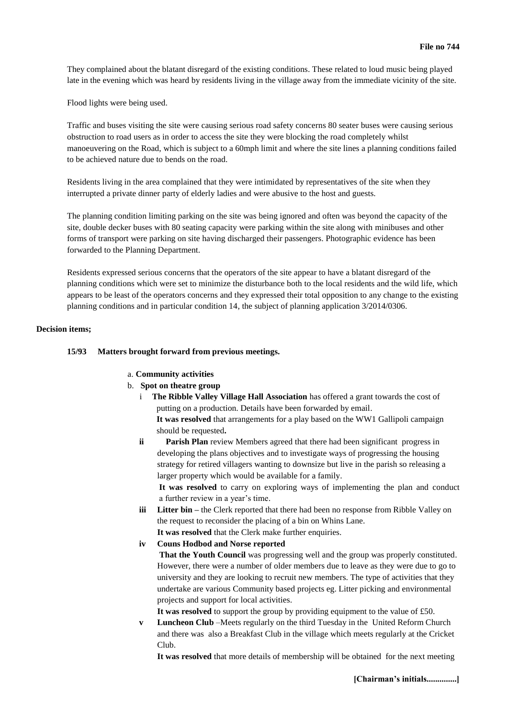They complained about the blatant disregard of the existing conditions. These related to loud music being played late in the evening which was heard by residents living in the village away from the immediate vicinity of the site.

Flood lights were being used.

Traffic and buses visiting the site were causing serious road safety concerns 80 seater buses were causing serious obstruction to road users as in order to access the site they were blocking the road completely whilst manoeuvering on the Road, which is subject to a 60mph limit and where the site lines a planning conditions failed to be achieved nature due to bends on the road.

Residents living in the area complained that they were intimidated by representatives of the site when they interrupted a private dinner party of elderly ladies and were abusive to the host and guests.

The planning condition limiting parking on the site was being ignored and often was beyond the capacity of the site, double decker buses with 80 seating capacity were parking within the site along with minibuses and other forms of transport were parking on site having discharged their passengers. Photographic evidence has been forwarded to the Planning Department.

Residents expressed serious concerns that the operators of the site appear to have a blatant disregard of the planning conditions which were set to minimize the disturbance both to the local residents and the wild life, which appears to be least of the operators concerns and they expressed their total opposition to any change to the existing planning conditions and in particular condition 14, the subject of planning application 3/2014/0306.

## **Decision items;**

## **15/93 Matters brought forward from previous meetings.**

## a. **Community activities**

- b. **Spot on theatre group**
	- i **The Ribble Valley Village Hall Association** has offered a grant towards the cost of putting on a production. Details have been forwarded by email. **It was resolved** that arrangements for a play based on the WW1 Gallipoli campaign should be requested**.**
	- **ii** Parish Plan review Members agreed that there had been significant progress in developing the plans objectives and to investigate ways of progressing the housing strategy for retired villagers wanting to downsize but live in the parish so releasing a larger property which would be available for a family.

**It was resolved** to carry on exploring ways of implementing the plan and conduct a further review in a year's time.

- **iii** Litter bin the Clerk reported that there had been no response from Ribble Valley on the request to reconsider the placing of a bin on Whins Lane. **It was resolved** that the Clerk make further enquiries.
- **iv Couns Hodbod and Norse reported**

**That the Youth Council** was progressing well and the group was properly constituted. However, there were a number of older members due to leave as they were due to go to university and they are looking to recruit new members. The type of activities that they undertake are various Community based projects eg. Litter picking and environmental projects and support for local activities.

**It was resolved** to support the group by providing equipment to the value of £50.

**v Luncheon Club** –Meets regularly on the third Tuesday in the United Reform Church and there was also a Breakfast Club in the village which meets regularly at the Cricket Club.

**It was resolved** that more details of membership will be obtained for the next meeting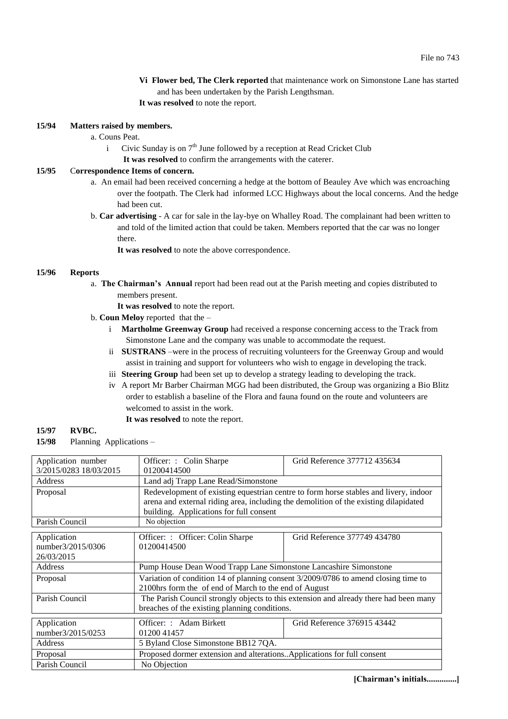- **Vi Flower bed, The Clerk reported** that maintenance work on Simonstone Lane has started and has been undertaken by the Parish Lengthsman.
- **It was resolved** to note the report.

## **15/94 Matters raised by members.**

- a. Couns Peat.
	- i Civic Sunday is on  $7<sup>th</sup>$  June followed by a reception at Read Cricket Club
		- **It was resolved** to confirm the arrangements with the caterer.

## **15/95** C**orrespondence Items of concern.**

- a. An email had been received concerning a hedge at the bottom of Beauley Ave which was encroaching over the footpath. The Clerk had informed LCC Highways about the local concerns. And the hedge had been cut.
- b. **Car advertising** A car for sale in the lay-bye on Whalley Road. The complainant had been written to and told of the limited action that could be taken. Members reported that the car was no longer there.

**It was resolved** to note the above correspondence.

## **15/96 Reports**

a. **The Chairman's Annual** report had been read out at the Parish meeting and copies distributed to members present.

**It was resolved** to note the report.

- b. **Coun Meloy** reported that the
	- i **Martholme Greenway Group** had received a response concerning access to the Track from Simonstone Lane and the company was unable to accommodate the request.
	- ii **SUSTRANS** –were in the process of recruiting volunteers for the Greenway Group and would assist in training and support for volunteers who wish to engage in developing the track.
	- iii **Steering Group** had been set up to develop a strategy leading to developing the track.
	- iv A report Mr Barber Chairman MGG had been distributed, the Group was organizing a Bio Blitz order to establish a baseline of the Flora and fauna found on the route and volunteers are welcomed to assist in the work.
		- **It was resolved** to note the report.

#### **15/97 RVBC.**

**15/98** Planning Applications –

| Application number     | Officer: : Colin Sharpe                                                               | Grid Reference 377712435634  |  |
|------------------------|---------------------------------------------------------------------------------------|------------------------------|--|
| 3/2015/0283 18/03/2015 | 01200414500                                                                           |                              |  |
| Address                | Land adj Trapp Lane Read/Simonstone                                                   |                              |  |
| Proposal               | Redevelopment of existing equestrian centre to form horse stables and livery, indoor  |                              |  |
|                        | arena and external riding area, including the demolition of the existing dilapidated  |                              |  |
|                        | building. Applications for full consent                                               |                              |  |
| Parish Council         | No objection                                                                          |                              |  |
| Application            | Officer: : Officer: Colin Sharpe                                                      | Grid Reference 377749 434780 |  |
| number3/2015/0306      | 01200414500                                                                           |                              |  |
| 26/03/2015             |                                                                                       |                              |  |
| Address                | Pump House Dean Wood Trapp Lane Simonstone Lancashire Simonstone                      |                              |  |
| Proposal               | Variation of condition 14 of planning consent 3/2009/0786 to amend closing time to    |                              |  |
|                        | 2100hrs form the of end of March to the end of August                                 |                              |  |
| Parish Council         | The Parish Council strongly objects to this extension and already there had been many |                              |  |
|                        | breaches of the existing planning conditions.                                         |                              |  |
| Application            | Officer: : Adam Birkett                                                               | Grid Reference 376915 43442  |  |
| number3/2015/0253      | 01200 41457                                                                           |                              |  |
| Address                | 5 Byland Close Simonstone BB12 7QA.                                                   |                              |  |
| Proposal               | Proposed dormer extension and alterations. Applications for full consent              |                              |  |
| Parish Council         | No Objection                                                                          |                              |  |